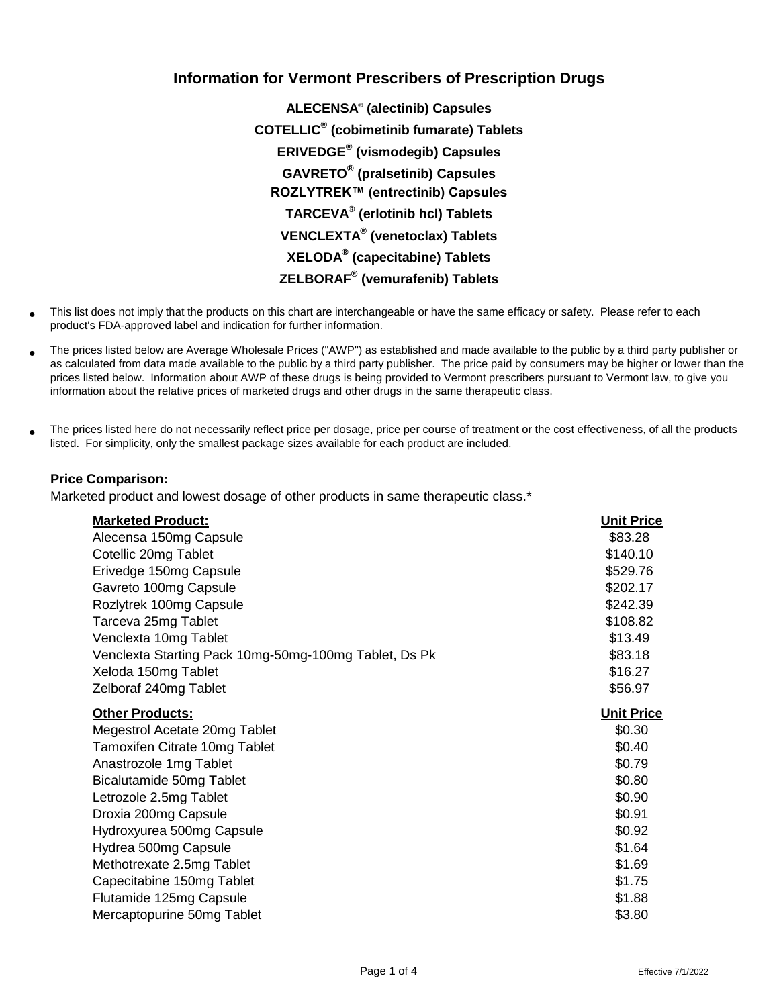## **Information for Vermont Prescribers of Prescription Drugs**

**ALECENSA® (alectinib) Capsules COTELLIC® (cobimetinib fumarate) Tablets ERIVEDGE® (vismodegib) Capsules GAVRETO® (pralsetinib) Capsules ROZLYTREK™ (entrectinib) Capsules TARCEVA® (erlotinib hcl) Tablets VENCLEXTA® (venetoclax) Tablets XELODA® (capecitabine) Tablets ZELBORAF® (vemurafenib) Tablets**

- This list does not imply that the products on this chart are interchangeable or have the same efficacy or safety. Please refer to each product's FDA-approved label and indication for further information.
- The prices listed below are Average Wholesale Prices ("AWP") as established and made available to the public by a third party publisher or as calculated from data made available to the public by a third party publisher. The price paid by consumers may be higher or lower than the prices listed below. Information about AWP of these drugs is being provided to Vermont prescribers pursuant to Vermont law, to give you information about the relative prices of marketed drugs and other drugs in the same therapeutic class.
- The prices listed here do not necessarily reflect price per dosage, price per course of treatment or the cost effectiveness, of all the products listed. For simplicity, only the smallest package sizes available for each product are included.

## **Price Comparison:**

Marketed product and lowest dosage of other products in same therapeutic class.\*

| <b>Marketed Product:</b>                              | <b>Unit Price</b> |
|-------------------------------------------------------|-------------------|
| Alecensa 150mg Capsule                                | \$83.28           |
| Cotellic 20mg Tablet                                  | \$140.10          |
| Erivedge 150mg Capsule                                | \$529.76          |
| Gavreto 100mg Capsule                                 | \$202.17          |
| Rozlytrek 100mg Capsule                               | \$242.39          |
| Tarceva 25mg Tablet                                   | \$108.82          |
| Venclexta 10mg Tablet                                 | \$13.49           |
| Venclexta Starting Pack 10mg-50mg-100mg Tablet, Ds Pk | \$83.18           |
| Xeloda 150mg Tablet                                   | \$16.27           |
| Zelboraf 240mg Tablet                                 | \$56.97           |
| <b>Other Products:</b>                                | <b>Unit Price</b> |
| Megestrol Acetate 20mg Tablet                         | \$0.30            |
| Tamoxifen Citrate 10mg Tablet                         | \$0.40            |
| Anastrozole 1mg Tablet                                | \$0.79            |
| Bicalutamide 50mg Tablet                              | \$0.80            |
| Letrozole 2.5mg Tablet                                | \$0.90            |
| Droxia 200mg Capsule                                  | \$0.91            |
| Hydroxyurea 500mg Capsule                             | \$0.92            |
| Hydrea 500mg Capsule                                  | \$1.64            |
| Methotrexate 2.5mg Tablet                             | \$1.69            |
| Capecitabine 150mg Tablet                             | \$1.75            |
| Flutamide 125mg Capsule                               | \$1.88            |
| Mercaptopurine 50mg Tablet                            | \$3.80            |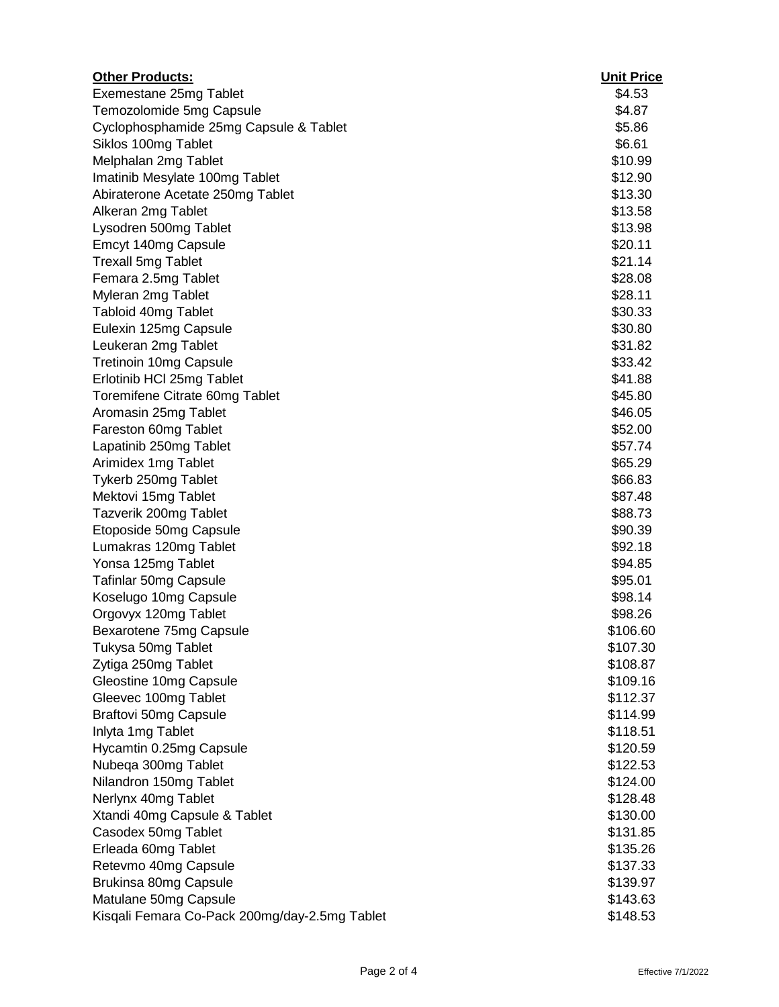| <b>Other Products:</b>                        | <b>Unit Price</b> |
|-----------------------------------------------|-------------------|
| Exemestane 25mg Tablet                        | \$4.53            |
| Temozolomide 5mg Capsule                      | \$4.87            |
| Cyclophosphamide 25mg Capsule & Tablet        | \$5.86            |
| Siklos 100mg Tablet                           | \$6.61            |
| Melphalan 2mg Tablet                          | \$10.99           |
| Imatinib Mesylate 100mg Tablet                | \$12.90           |
| Abiraterone Acetate 250mg Tablet              | \$13.30           |
| Alkeran 2mg Tablet                            | \$13.58           |
| Lysodren 500mg Tablet                         | \$13.98           |
| Emcyt 140mg Capsule                           | \$20.11           |
| <b>Trexall 5mg Tablet</b>                     | \$21.14           |
| Femara 2.5mg Tablet                           | \$28.08           |
| Myleran 2mg Tablet                            | \$28.11           |
| Tabloid 40mg Tablet                           | \$30.33           |
| Eulexin 125mg Capsule                         | \$30.80           |
| Leukeran 2mg Tablet                           | \$31.82           |
| <b>Tretinoin 10mg Capsule</b>                 | \$33.42           |
| Erlotinib HCl 25mg Tablet                     | \$41.88           |
| Toremifene Citrate 60mg Tablet                | \$45.80           |
| Aromasin 25mg Tablet                          | \$46.05           |
| Fareston 60mg Tablet                          | \$52.00           |
| Lapatinib 250mg Tablet                        | \$57.74           |
| Arimidex 1mg Tablet                           | \$65.29           |
| Tykerb 250mg Tablet                           | \$66.83           |
| Mektovi 15mg Tablet                           | \$87.48           |
| Tazverik 200mg Tablet                         | \$88.73           |
| Etoposide 50mg Capsule                        | \$90.39           |
| Lumakras 120mg Tablet                         | \$92.18           |
| Yonsa 125mg Tablet                            | \$94.85           |
| Tafinlar 50mg Capsule                         | \$95.01           |
| Koselugo 10mg Capsule                         | \$98.14           |
| Orgovyx 120mg Tablet                          | \$98.26           |
| Bexarotene 75mg Capsule                       | \$106.60          |
| Tukysa 50mg Tablet                            | \$107.30          |
| Zytiga 250mg Tablet                           | \$108.87          |
| Gleostine 10mg Capsule                        | \$109.16          |
| Gleevec 100mg Tablet                          | \$112.37          |
| <b>Braftovi 50mg Capsule</b>                  | \$114.99          |
| Inlyta 1mg Tablet                             | \$118.51          |
| Hycamtin 0.25mg Capsule                       | \$120.59          |
| Nubega 300mg Tablet                           | \$122.53          |
| Nilandron 150mg Tablet                        | \$124.00          |
| Nerlynx 40mg Tablet                           | \$128.48          |
| Xtandi 40mg Capsule & Tablet                  | \$130.00          |
| Casodex 50mg Tablet                           | \$131.85          |
| Erleada 60mg Tablet                           | \$135.26          |
| Retevmo 40mg Capsule                          | \$137.33          |
| Brukinsa 80mg Capsule                         | \$139.97          |
| Matulane 50mg Capsule                         | \$143.63          |
| Kisqali Femara Co-Pack 200mg/day-2.5mg Tablet | \$148.53          |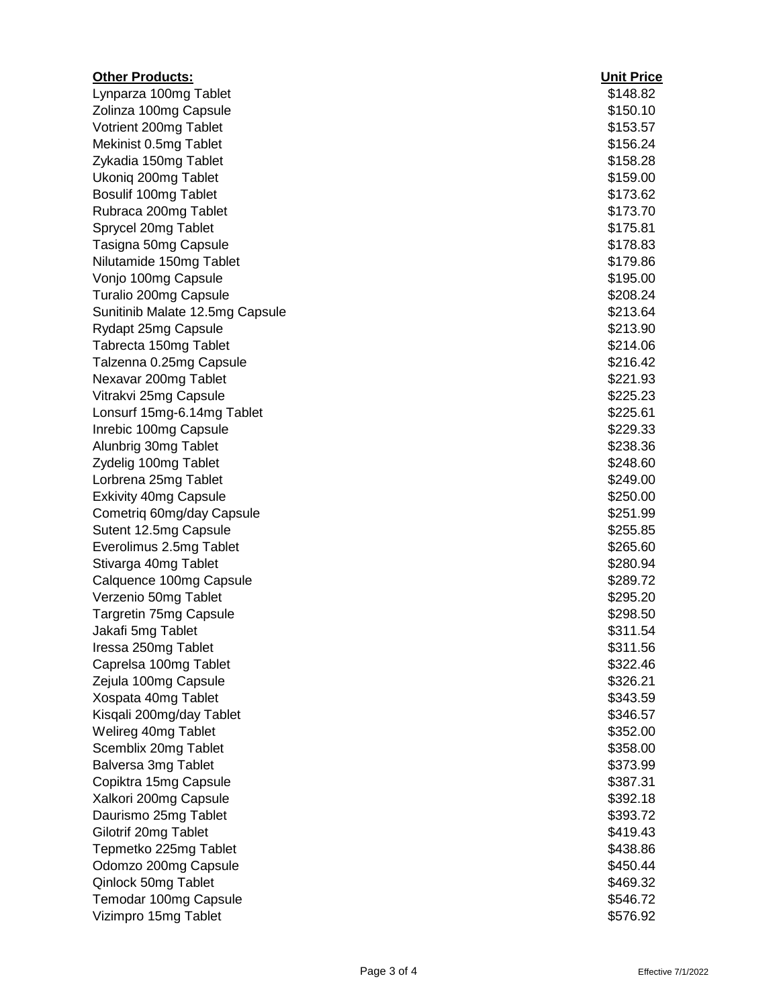| <b>Other Products:</b>          | <b>Unit Price</b> |
|---------------------------------|-------------------|
| Lynparza 100mg Tablet           | \$148.82          |
| Zolinza 100mg Capsule           | \$150.10          |
| Votrient 200mg Tablet           | \$153.57          |
| Mekinist 0.5mg Tablet           | \$156.24          |
| Zykadia 150mg Tablet            | \$158.28          |
| Ukoniq 200mg Tablet             | \$159.00          |
| Bosulif 100mg Tablet            | \$173.62          |
| Rubraca 200mg Tablet            | \$173.70          |
| Sprycel 20mg Tablet             | \$175.81          |
| Tasigna 50mg Capsule            | \$178.83          |
| Nilutamide 150mg Tablet         | \$179.86          |
| Vonjo 100mg Capsule             | \$195.00          |
| Turalio 200mg Capsule           | \$208.24          |
| Sunitinib Malate 12.5mg Capsule | \$213.64          |
| Rydapt 25mg Capsule             | \$213.90          |
| Tabrecta 150mg Tablet           | \$214.06          |
| Talzenna 0.25mg Capsule         | \$216.42          |
| Nexavar 200mg Tablet            | \$221.93          |
| Vitrakvi 25mg Capsule           | \$225.23          |
| Lonsurf 15mg-6.14mg Tablet      | \$225.61          |
| Inrebic 100mg Capsule           | \$229.33          |
| Alunbrig 30mg Tablet            | \$238.36          |
| Zydelig 100mg Tablet            | \$248.60          |
| Lorbrena 25mg Tablet            | \$249.00          |
| <b>Exkivity 40mg Capsule</b>    | \$250.00          |
| Cometriq 60mg/day Capsule       | \$251.99          |
| Sutent 12.5mg Capsule           | \$255.85          |
| Everolimus 2.5mg Tablet         | \$265.60          |
| Stivarga 40mg Tablet            | \$280.94          |
| Calquence 100mg Capsule         | \$289.72          |
| Verzenio 50mg Tablet            | \$295.20          |
| Targretin 75mg Capsule          | \$298.50          |
| Jakafi 5mg Tablet               | \$311.54          |
| Iressa 250mg Tablet             | \$311.56          |
| Caprelsa 100mg Tablet           | \$322.46          |
| Zejula 100mg Capsule            | \$326.21          |
| Xospata 40mg Tablet             | \$343.59          |
| Kisqali 200mg/day Tablet        | \$346.57          |
| Welireg 40mg Tablet             | \$352.00          |
| Scemblix 20mg Tablet            | \$358.00          |
| Balversa 3mg Tablet             | \$373.99          |
| Copiktra 15mg Capsule           | \$387.31          |
| Xalkori 200mg Capsule           | \$392.18          |
| Daurismo 25mg Tablet            | \$393.72          |
| Gilotrif 20mg Tablet            | \$419.43          |
| Tepmetko 225mg Tablet           | \$438.86          |
| Odomzo 200mg Capsule            | \$450.44          |
| Qinlock 50mg Tablet             | \$469.32          |
| Temodar 100mg Capsule           | \$546.72          |
| Vizimpro 15mg Tablet            | \$576.92          |